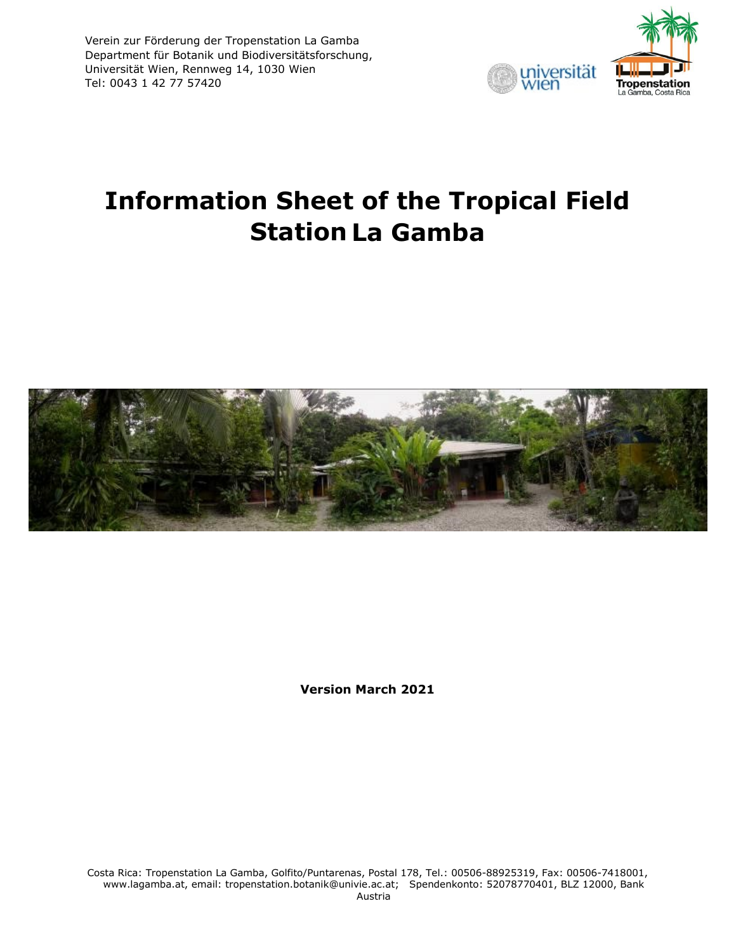

# **Information Sheet of the Tropical Field Station La Gamba**



**Version March 2021**

Costa Rica: Tropenstation La Gamba, Golfito/Puntarenas, Postal 178, Tel.: 00506-88925319, Fax: 00506-7418001, www.lagamba.at, email: tropenstation.botanik@univie.ac.at; Spendenkonto: 52078770401, BLZ 12000, Bank Austria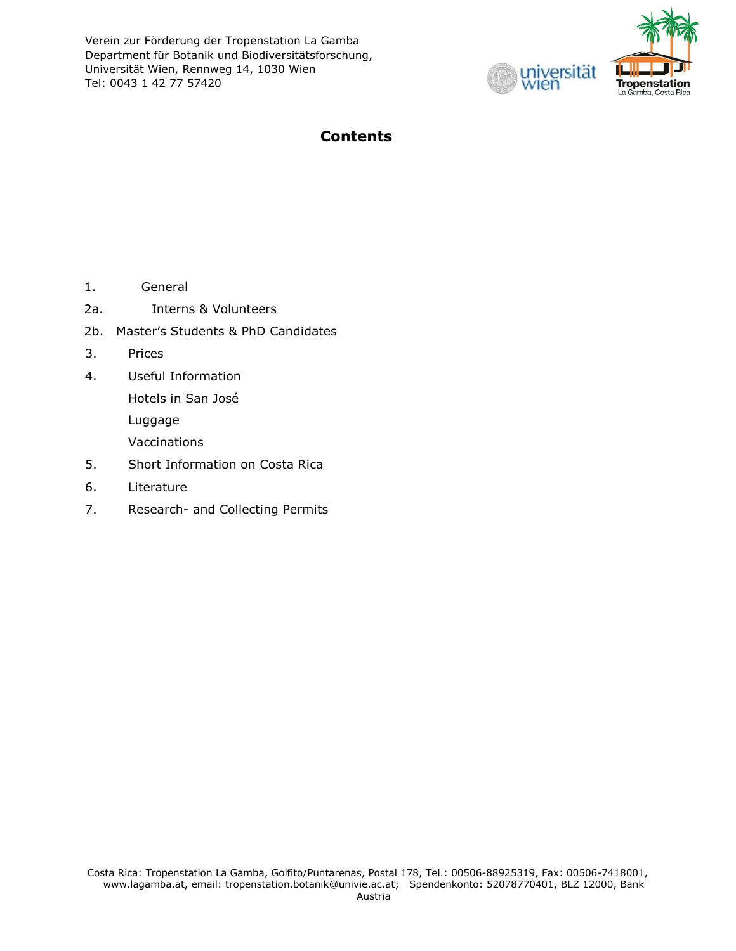

# **Contents**

- 1. General
- 2a. Interns & Volunteers
- 2b. Master's Students & PhD Candidates
- 3. Prices
- 4. Useful Information

Hotels in San José

Luggage

Vaccinations

- 5. Short Information on Costa Rica
- 6. Literature
- 7. Research- and Collecting Permits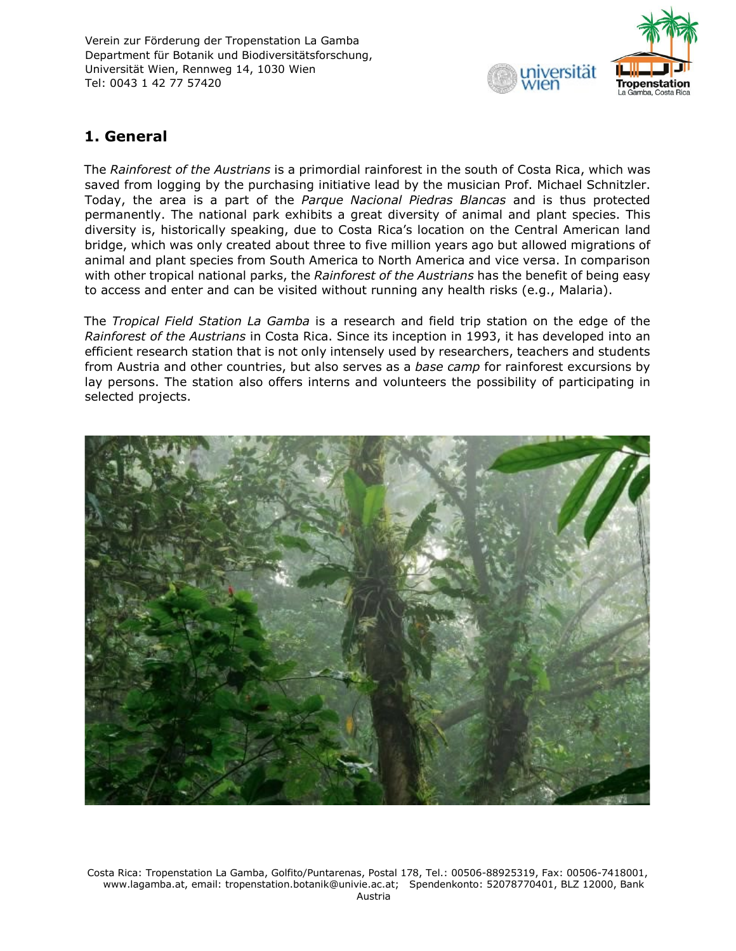

# **1. General**

The *Rainforest of the Austrians* is a primordial rainforest in the south of Costa Rica, which was saved from logging by the purchasing initiative lead by the musician Prof. Michael Schnitzler. Today, the area is a part of the *Parque Nacional Piedras Blancas* and is thus protected permanently. The national park exhibits a great diversity of animal and plant species. This diversity is, historically speaking, due to Costa Rica's location on the Central American land bridge, which was only created about three to five million years ago but allowed migrations of animal and plant species from South America to North America and vice versa. In comparison with other tropical national parks, the *Rainforest of the Austrians* has the benefit of being easy to access and enter and can be visited without running any health risks (e.g., Malaria).

The *Tropical Field Station La Gamba* is a research and field trip station on the edge of the *Rainforest of the Austrians* in Costa Rica. Since its inception in 1993, it has developed into an efficient research station that is not only intensely used by researchers, teachers and students from Austria and other countries, but also serves as a *base camp* for rainforest excursions by lay persons. The station also offers interns and volunteers the possibility of participating in selected projects.



Costa Rica: Tropenstation La Gamba, Golfito/Puntarenas, Postal 178, Tel.: 00506-88925319, Fax: 00506-7418001, www.lagamba.at, email: tropenstation.botanik@univie.ac.at; Spendenkonto: 52078770401, BLZ 12000, Bank Austria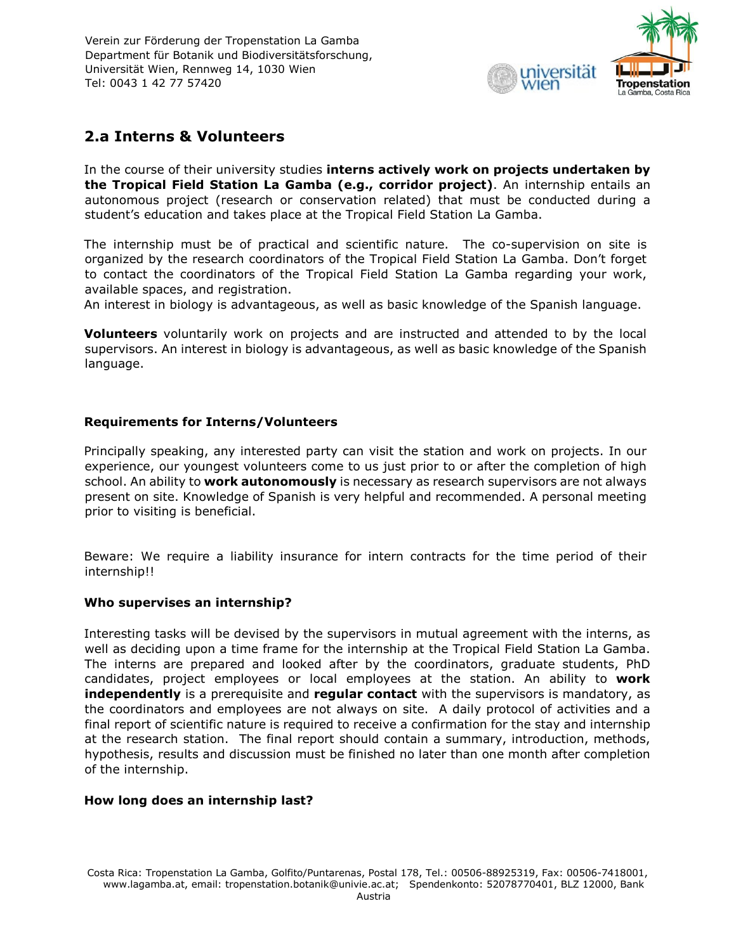

# **2.a Interns & Volunteers**

In the course of their university studies **interns actively work on projects undertaken by the Tropical Field Station La Gamba (e.g., corridor project)**. An internship entails an autonomous project (research or conservation related) that must be conducted during a student's education and takes place at the Tropical Field Station La Gamba.

The internship must be of practical and scientific nature. The co-supervision on site is organized by the research coordinators of the Tropical Field Station La Gamba. Don't forget to contact the coordinators of the Tropical Field Station La Gamba regarding your work, available spaces, and registration.

An interest in biology is advantageous, as well as basic knowledge of the Spanish language.

**Volunteers** voluntarily work on projects and are instructed and attended to by the local supervisors. An interest in biology is advantageous, as well as basic knowledge of the Spanish language.

## **Requirements for Interns/Volunteers**

Principally speaking, any interested party can visit the station and work on projects. In our experience, our youngest volunteers come to us just prior to or after the completion of high school. An ability to **work autonomously** is necessary as research supervisors are not always present on site. Knowledge of Spanish is very helpful and recommended. A personal meeting prior to visiting is beneficial.

Beware: We require a liability insurance for intern contracts for the time period of their internship!!

#### **Who supervises an internship?**

Interesting tasks will be devised by the supervisors in mutual agreement with the interns, as well as deciding upon a time frame for the internship at the Tropical Field Station La Gamba. The interns are prepared and looked after by the coordinators, graduate students, PhD candidates, project employees or local employees at the station. An ability to **work independently** is a prerequisite and **regular contact** with the supervisors is mandatory, as the coordinators and employees are not always on site. A daily protocol of activities and a final report of scientific nature is required to receive a confirmation for the stay and internship at the research station. The final report should contain a summary, introduction, methods, hypothesis, results and discussion must be finished no later than one month after completion of the internship.

#### **How long does an internship last?**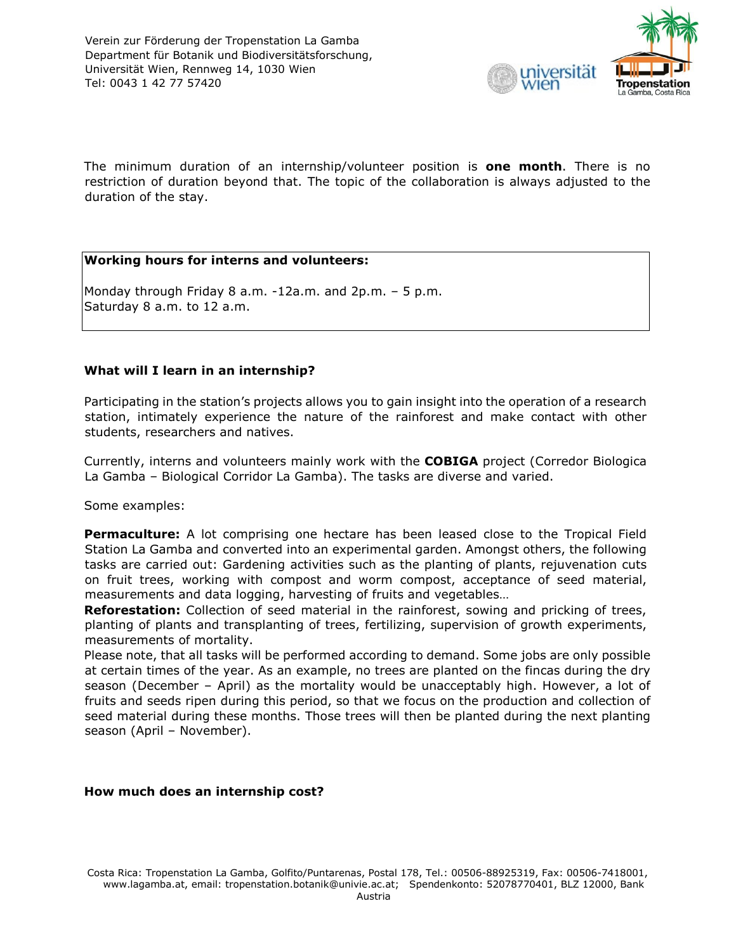

The minimum duration of an internship/volunteer position is **one month**. There is no restriction of duration beyond that. The topic of the collaboration is always adjusted to the duration of the stay.

## **Working hours for interns and volunteers:**

Monday through Friday 8 a.m. -12a.m. and 2p.m. – 5 p.m. Saturday 8 a.m. to 12 a.m.

## **What will I learn in an internship?**

Participating in the station's projects allows you to gain insight into the operation of a research station, intimately experience the nature of the rainforest and make contact with other students, researchers and natives.

Currently, interns and volunteers mainly work with the **COBIGA** project (Corredor Biologica La Gamba – Biological Corridor La Gamba). The tasks are diverse and varied.

Some examples:

**Permaculture:** A lot comprising one hectare has been leased close to the Tropical Field Station La Gamba and converted into an experimental garden. Amongst others, the following tasks are carried out: Gardening activities such as the planting of plants, rejuvenation cuts on fruit trees, working with compost and worm compost, acceptance of seed material, measurements and data logging, harvesting of fruits and vegetables…

**Reforestation:** Collection of seed material in the rainforest, sowing and pricking of trees, planting of plants and transplanting of trees, fertilizing, supervision of growth experiments, measurements of mortality.

Please note, that all tasks will be performed according to demand. Some jobs are only possible at certain times of the year. As an example, no trees are planted on the fincas during the dry season (December – April) as the mortality would be unacceptably high. However, a lot of fruits and seeds ripen during this period, so that we focus on the production and collection of seed material during these months. Those trees will then be planted during the next planting season (April – November).

#### **How much does an internship cost?**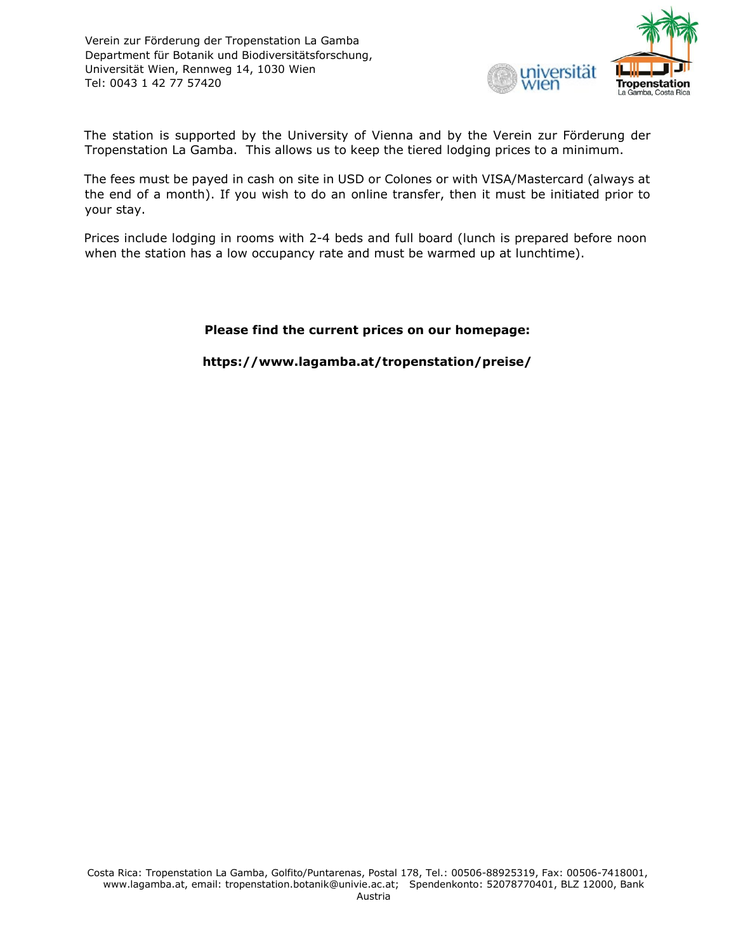

The station is supported by the University of Vienna and by the Verein zur Förderung der Tropenstation La Gamba. This allows us to keep the tiered lodging prices to a minimum.

The fees must be payed in cash on site in USD or Colones or with VISA/Mastercard (always at the end of a month). If you wish to do an online transfer, then it must be initiated prior to your stay.

Prices include lodging in rooms with 2-4 beds and full board (lunch is prepared before noon when the station has a low occupancy rate and must be warmed up at lunchtime).

## **Please find the current prices on our homepage:**

**https://www.lagamba.at/tropenstation/preise/**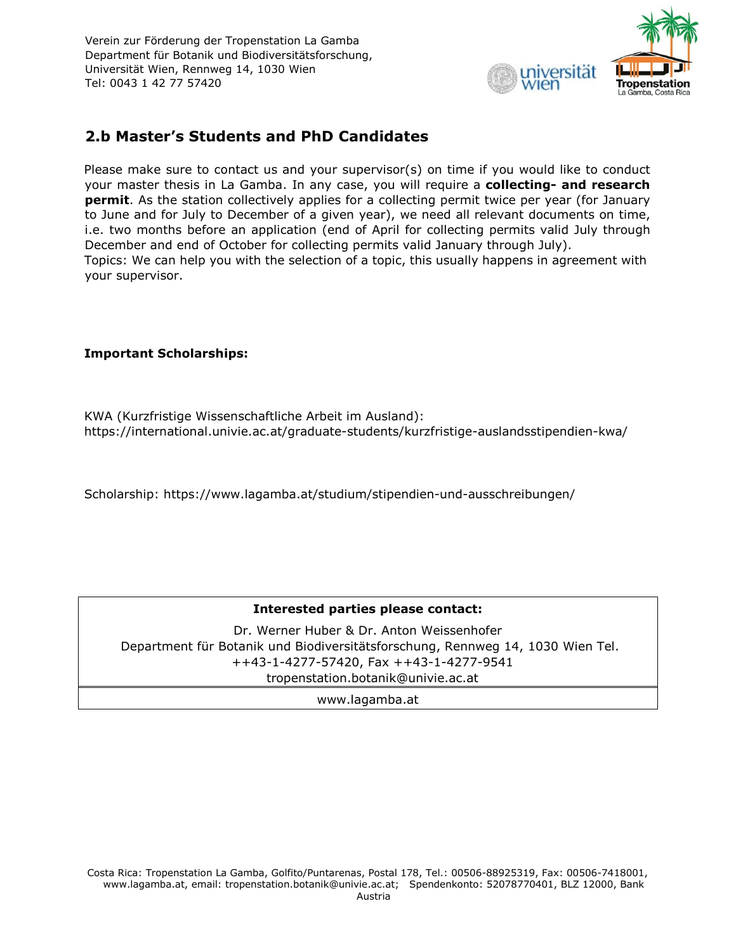

# **2.b Master's Students and PhD Candidates**

Please make sure to contact us and your supervisor(s) on time if you would like to conduct your master thesis in La Gamba. In any case, you will require a **collecting- and research permit**. As the station collectively applies for a collecting permit twice per year (for January to June and for July to December of a given year), we need all relevant documents on time, i.e. two months before an application (end of April for collecting permits valid July through December and end of October for collecting permits valid January through July). Topics: We can help you with the selection of a topic, this usually happens in agreement with your supervisor.

# **Important Scholarships:**

KWA (Kurzfristige Wissenschaftliche Arbeit im Ausland): https://international.univie.ac.at/graduate-students/kurzfristige-auslandsstipendien-kwa/

Scholarship: https://www.lagamba.at/studium/stipendien-und-ausschreibungen/

# **Interested parties please contact:**

Dr. Werner Huber & Dr. Anton Weissenhofer Department für Botanik und Biodiversitätsforschung, Rennweg 14, 1030 Wien Tel. ++43-1-4277-57420, Fax ++43-1-4277-9541 tropenstation.botanik@univie.ac.at

www.lagamba.at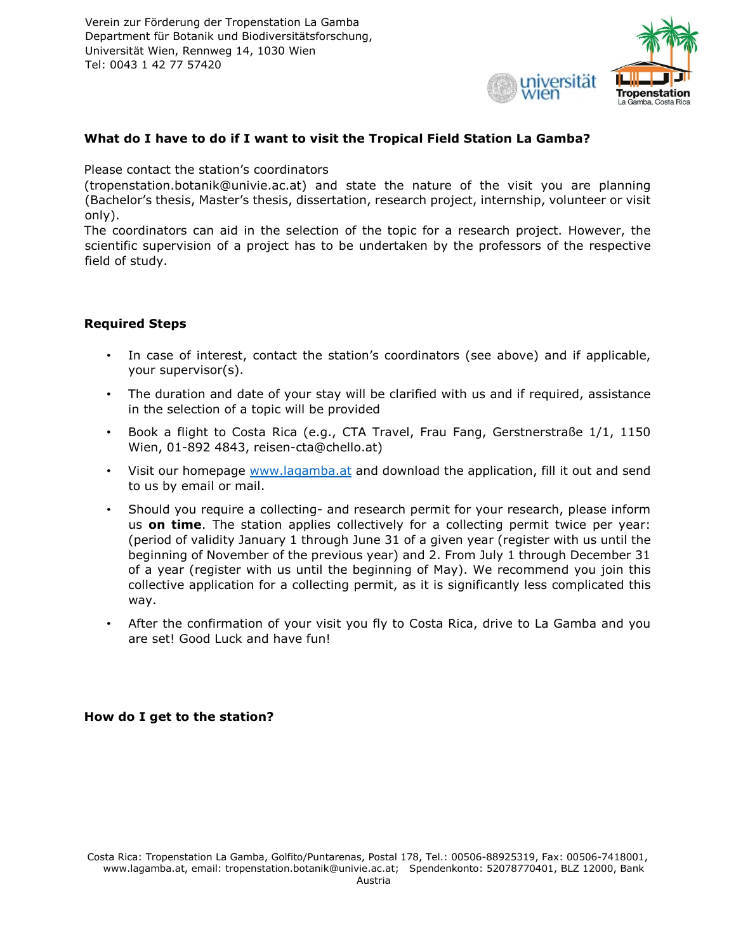

#### **What do I have to do if I want to visit the Tropical Field Station La Gamba?**

Please contact the station's coordinators

(tropenstation.botanik@univie.ac.at) and state the nature of the visit you are planning (Bachelor's thesis, Master's thesis, dissertation, research project, internship, volunteer or visit only).

The coordinators can aid in the selection of the topic for a research project. However, the scientific supervision of a project has to be undertaken by the professors of the respective field of study.

## **Required Steps**

- In case of interest, contact the station's coordinators (see above) and if applicable, your supervisor(s).
- The duration and date of your stay will be clarified with us and if required, assistance in the selection of a topic will be provided
- Book a flight to Costa Rica (e.g., CTA Travel, Frau Fang, Gerstnerstraße 1/1, 1150 Wien, 01-892 4843, reisen-cta@chello.at)
- Visit our homepage [www.lagamba.at](http://www.lagamba.at/) and download the application, fill it out and send to us by email or mail.
- Should you require a collecting- and research permit for your research, please inform us **on time**. The station applies collectively for a collecting permit twice per year: (period of validity January 1 through June 31 of a given year (register with us until the beginning of November of the previous year) and 2. From July 1 through December 31 of a year (register with us until the beginning of May). We recommend you join this collective application for a collecting permit, as it is significantly less complicated this way.
- After the confirmation of your visit you fly to Costa Rica, drive to La Gamba and you are set! Good Luck and have fun!

# **How do I get to the station?**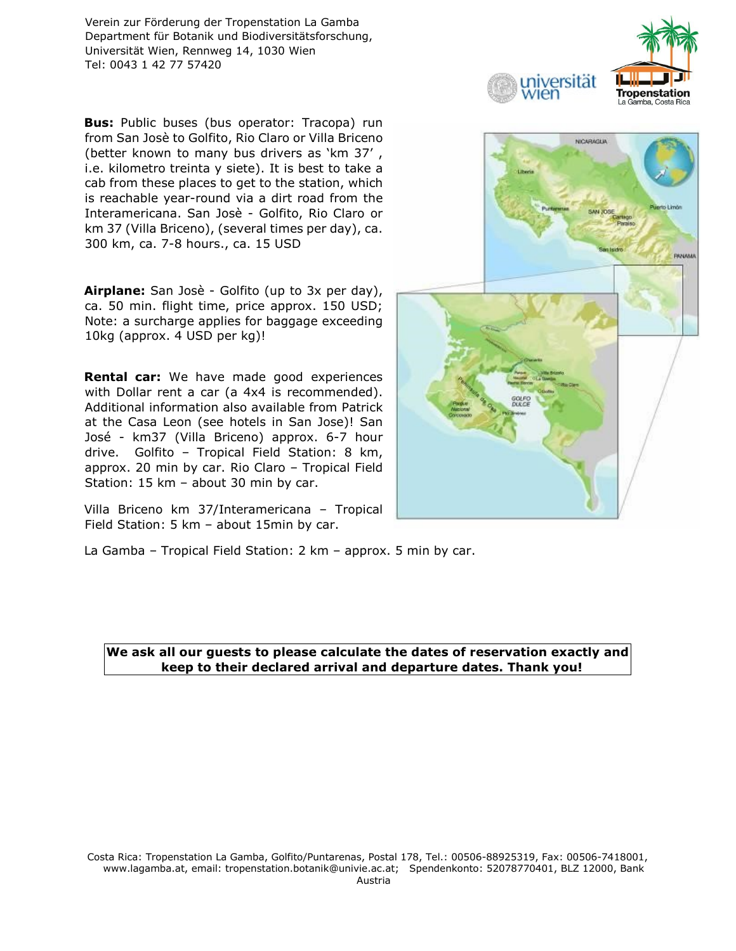**Bus:** Public buses (bus operator: Tracopa) run from San Josè to Golfito, Rio Claro or Villa Briceno (better known to many bus drivers as 'km 37' , i.e. kilometro treinta y siete). It is best to take a cab from these places to get to the station, which is reachable year-round via a dirt road from the Interamericana. San Josè - Golfito, Rio Claro or km 37 (Villa Briceno), (several times per day), ca. 300 km, ca. 7-8 hours., ca. 15 USD

**Airplane:** San Josè - Golfito (up to 3x per day), ca. 50 min. flight time, price approx. 150 USD; Note: a surcharge applies for baggage exceeding 10kg (approx. 4 USD per kg)!

**Rental car:** We have made good experiences with Dollar rent a car (a 4x4 is recommended). Additional information also available from Patrick at the Casa Leon (see hotels in San Jose)! San José - km37 (Villa Briceno) approx. 6-7 hour drive. Golfito – Tropical Field Station: 8 km, approx. 20 min by car. Rio Claro – Tropical Field Station: 15 km – about 30 min by car.

Villa Briceno km 37/Interamericana – Tropical Field Station: 5 km – about 15min by car.



niversität

'ien

**Tropenstation** 

La Gamba, Costa Rica

La Gamba – Tropical Field Station: 2 km – approx. 5 min by car.

#### **We ask all our guests to please calculate the dates of reservation exactly and keep to their declared arrival and departure dates. Thank you!**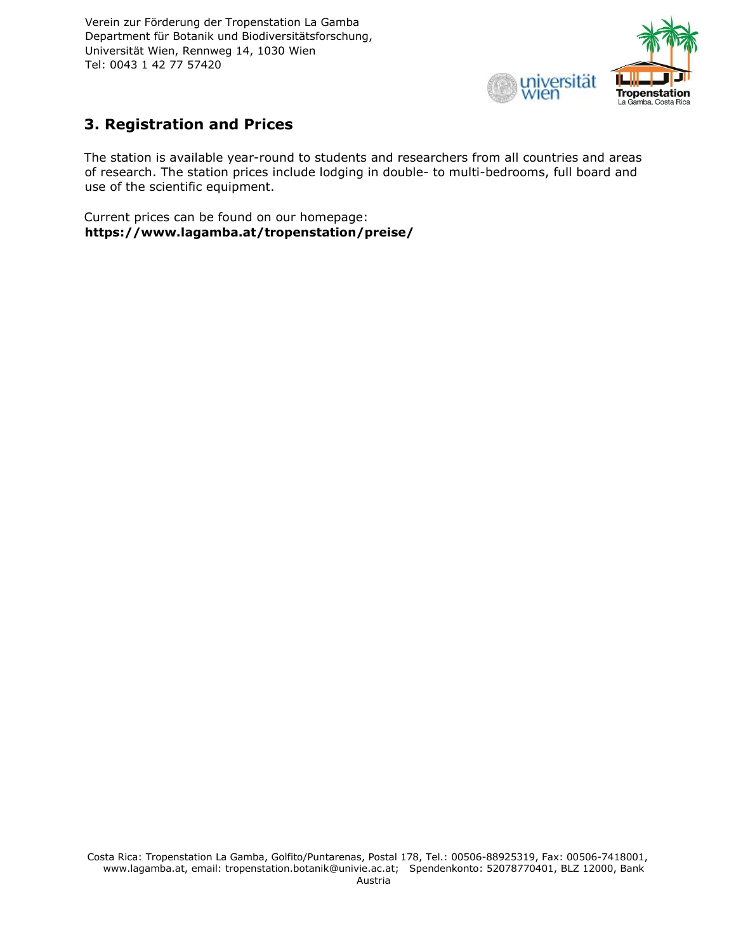

# **3. Registration and Prices**

The station is available year-round to students and researchers from all countries and areas of research. The station prices include lodging in double- to multi-bedrooms, full board and use of the scientific equipment.

Current prices can be found on our homepage: **https://www.lagamba.at/tropenstation/preise/**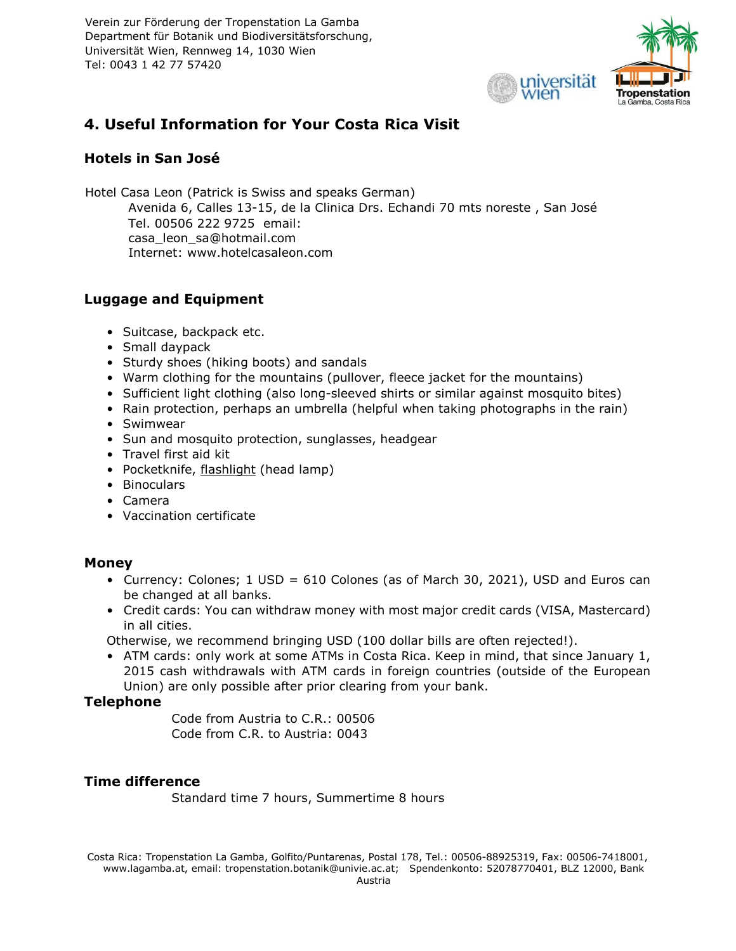

# **4. Useful Information for Your Costa Rica Visit**

# **Hotels in San José**

Hotel Casa Leon (Patrick is Swiss and speaks German) Avenida 6, Calles 13-15, de la Clinica Drs. Echandi 70 mts noreste , San José Tel. 00506 222 9725 email: casa\_leon\_sa@hotmail.com Internet: www.hotelcasaleon.com

# **Luggage and Equipment**

- Suitcase, backpack etc.
- Small daypack
- Sturdy shoes (hiking boots) and sandals
- Warm clothing for the mountains (pullover, fleece jacket for the mountains)
- Sufficient light clothing (also long-sleeved shirts or similar against mosquito bites)
- Rain protection, perhaps an umbrella (helpful when taking photographs in the rain)
- Swimwear
- Sun and mosquito protection, sunglasses, headgear
- Travel first aid kit
- Pocketknife, flashlight (head lamp)
- Binoculars
- Camera
- Vaccination certificate

# **Money**

- Currency: Colones; 1 USD = 610 Colones (as of March 30, 2021), USD and Euros can be changed at all banks.
- Credit cards: You can withdraw money with most major credit cards (VISA, Mastercard) in all cities.

Otherwise, we recommend bringing USD (100 dollar bills are often rejected!).

• ATM cards: only work at some ATMs in Costa Rica. Keep in mind, that since January 1, 2015 cash withdrawals with ATM cards in foreign countries (outside of the European Union) are only possible after prior clearing from your bank.

# **Telephone**

Code from Austria to C.R.: 00506 Code from C.R. to Austria: 0043

# **Time difference**

Standard time 7 hours, Summertime 8 hours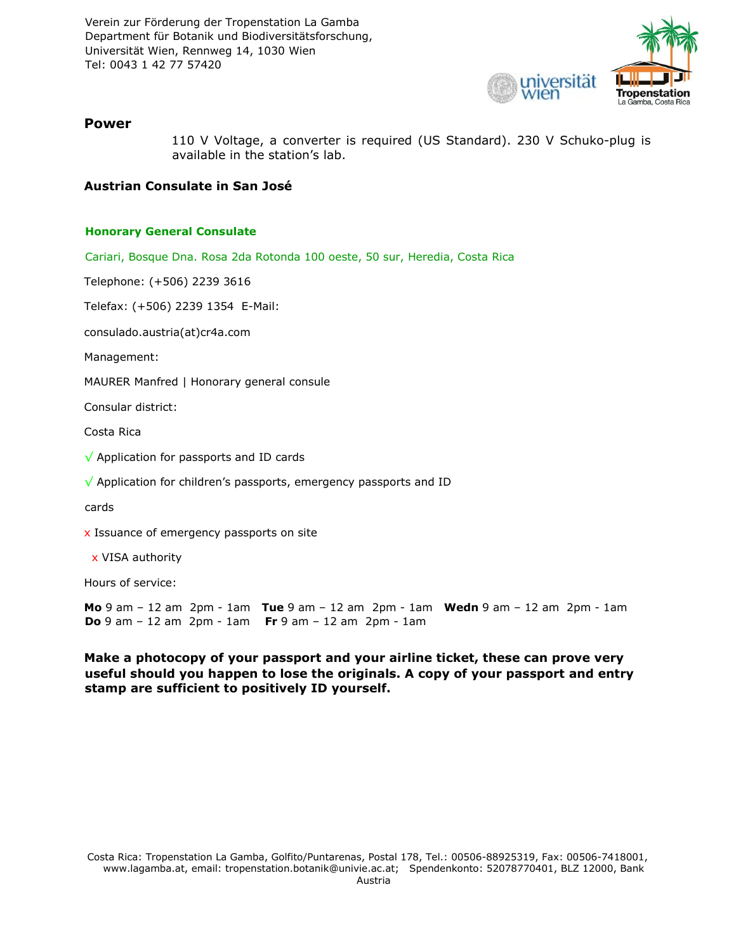

#### **Power**

110 V Voltage, a converter is required (US Standard). 230 V Schuko-plug is available in the station's lab.

#### **Austrian Consulate in San José**

#### **Honorary General Consulate**

Cariari, Bosque Dna. Rosa 2da Rotonda 100 oeste, 50 sur, Heredia, Costa Rica

Telephone: (+506) 2239 3616

Telefax: (+506) 2239 1354 E-Mail:

consulado.austria(at)cr4a.com

Management:

MAURER Manfred | Honorary general consule

Consular district:

Costa Rica

√ Application for passports and ID cards

√ Application for children's passports, emergency passports and ID

cards

x Issuance of emergency passports on site

x VISA authority

Hours of service:

**Mo** 9 am – 12 am 2pm - 1am **Tue** 9 am – 12 am 2pm - 1am **Wedn** 9 am – 12 am 2pm - 1am **Do** 9 am – 12 am 2pm - 1am **Fr** 9 am – 12 am 2pm - 1am

**Make a photocopy of your passport and your airline ticket, these can prove very useful should you happen to lose the originals. A copy of your passport and entry stamp are sufficient to positively ID yourself.**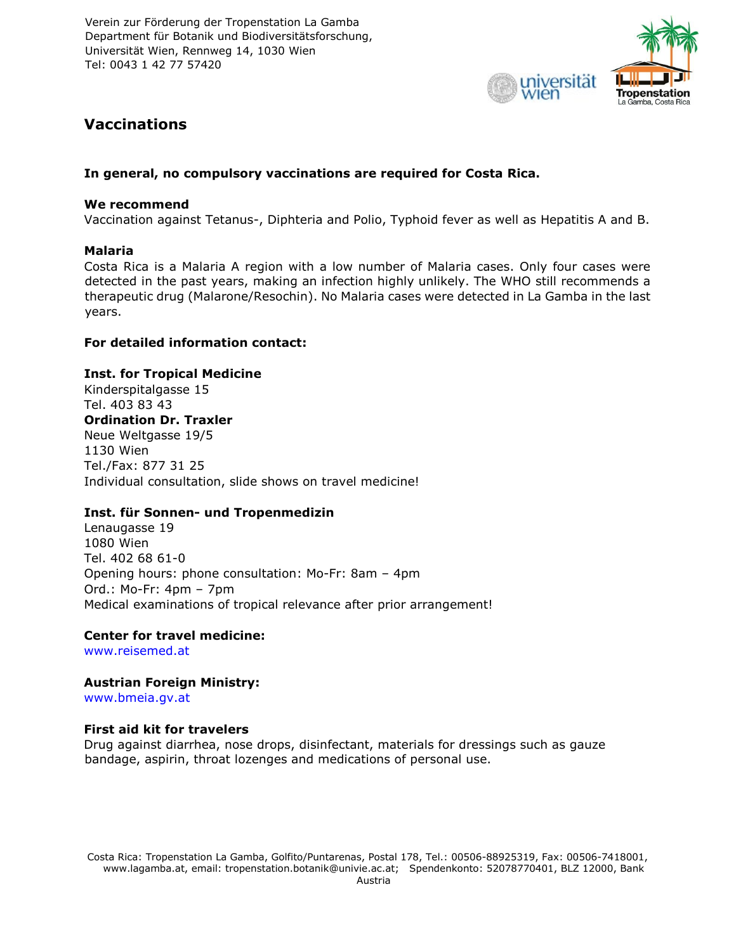

# **Vaccinations**

#### **In general, no compulsory vaccinations are required for Costa Rica.**

#### **We recommend**

Vaccination against Tetanus-, Diphteria and Polio, Typhoid fever as well as Hepatitis A and B.

#### **Malaria**

Costa Rica is a Malaria A region with a low number of Malaria cases. Only four cases were detected in the past years, making an infection highly unlikely. The WHO still recommends a therapeutic drug (Malarone/Resochin). No Malaria cases were detected in La Gamba in the last years.

#### **For detailed information contact:**

#### **Inst. for Tropical Medicine**

Kinderspitalgasse 15 Tel. 403 83 43 **Ordination Dr. Traxler**  Neue Weltgasse 19/5 1130 Wien Tel./Fax: 877 31 25 Individual consultation, slide shows on travel medicine!

#### **Inst. für Sonnen- und Tropenmedizin**

Lenaugasse 19 1080 Wien Tel. 402 68 61-0 Opening hours: phone consultation: Mo-Fr: 8am – 4pm Ord.: Mo-Fr: 4pm – 7pm Medical examinations of tropical relevance after prior arrangement!

#### **Center for travel medicine:**

[www.reisemed.at](http://www.reisemed.at/)

**Austrian Foreign Ministry:**  www.bmeia.gv.at

#### **First aid kit for travelers**

Drug against diarrhea, nose drops, disinfectant, materials for dressings such as gauze bandage, aspirin, throat lozenges and medications of personal use.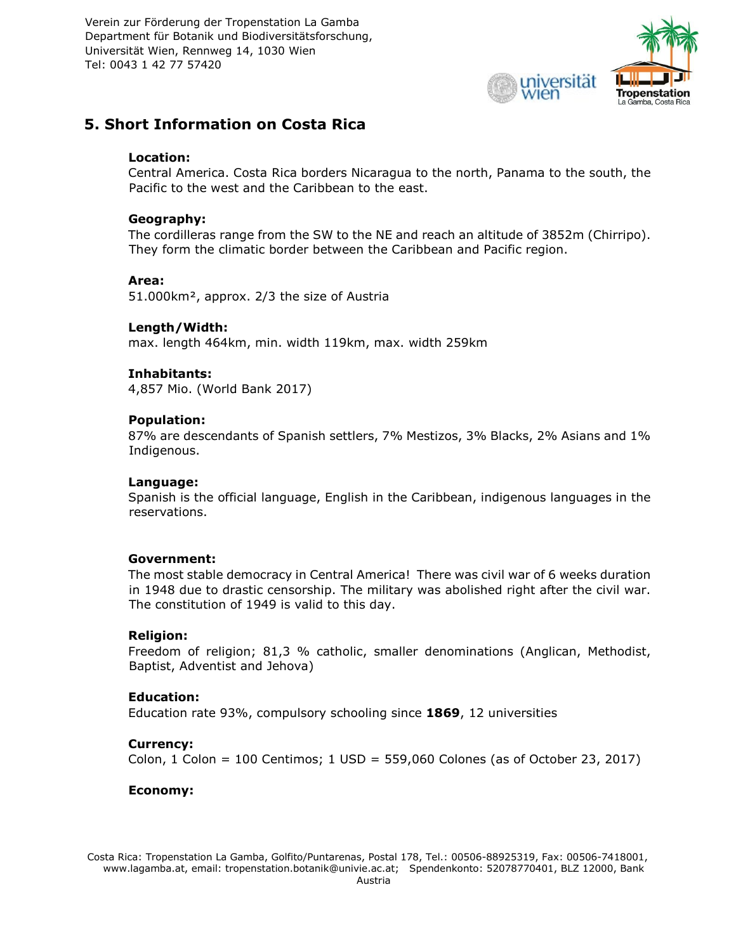

# **5. Short Information on Costa Rica**

#### **Location:**

Central America. Costa Rica borders Nicaragua to the north, Panama to the south, the Pacific to the west and the Caribbean to the east.

#### **Geography:**

The cordilleras range from the SW to the NE and reach an altitude of 3852m (Chirripo). They form the climatic border between the Caribbean and Pacific region.

#### **Area:**

51.000km², approx. 2/3 the size of Austria

#### **Length/Width:**

max. length 464km, min. width 119km, max. width 259km

#### **Inhabitants:**

4,857 Mio. (World Bank 2017)

#### **Population:**

87% are descendants of Spanish settlers, 7% Mestizos, 3% Blacks, 2% Asians and 1% Indigenous.

#### **Language:**

Spanish is the official language, English in the Caribbean, indigenous languages in the reservations.

#### **Government:**

The most stable democracy in Central America! There was civil war of 6 weeks duration in 1948 due to drastic censorship. The military was abolished right after the civil war. The constitution of 1949 is valid to this day.

#### **Religion:**

Freedom of religion; 81,3 % catholic, smaller denominations (Anglican, Methodist, Baptist, Adventist and Jehova)

#### **Education:**

Education rate 93%, compulsory schooling since **1869**, 12 universities

#### **Currency:**

Colon, 1 Colon =  $100$  Centimos; 1 USD =  $559,060$  Colones (as of October 23, 2017)

#### **Economy:**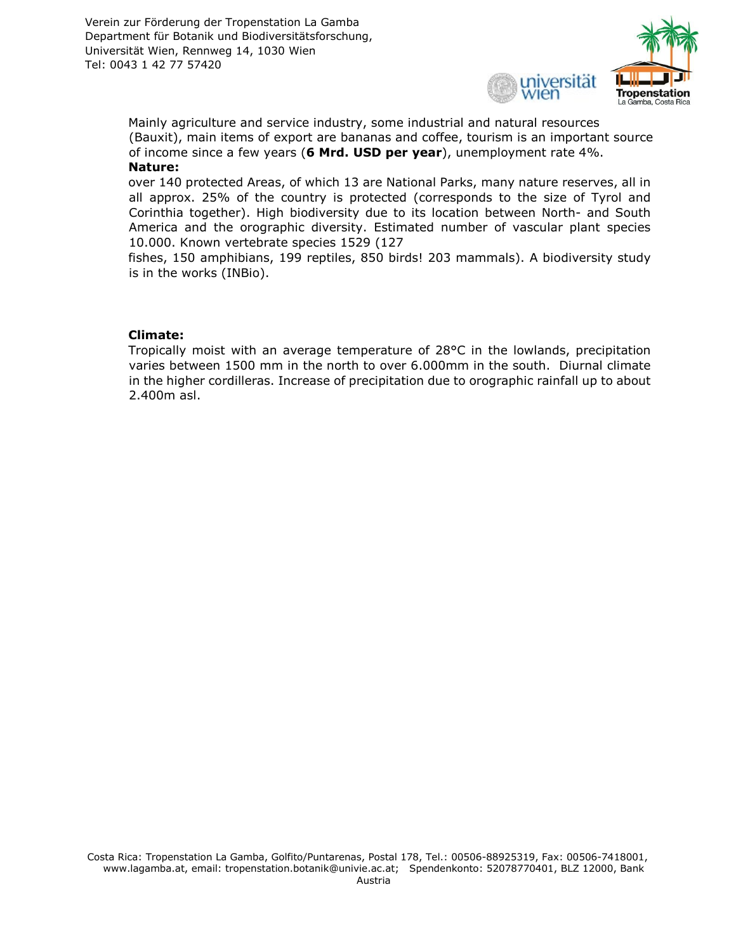

Mainly agriculture and service industry, some industrial and natural resources (Bauxit), main items of export are bananas and coffee, tourism is an important source of income since a few years (**6 Mrd. USD per year**), unemployment rate 4%. **Nature:** 

over 140 protected Areas, of which 13 are National Parks, many nature reserves, all in all approx. 25% of the country is protected (corresponds to the size of Tyrol and Corinthia together). High biodiversity due to its location between North- and South America and the orographic diversity. Estimated number of vascular plant species 10.000. Known vertebrate species 1529 (127

fishes, 150 amphibians, 199 reptiles, 850 birds! 203 mammals). A biodiversity study is in the works (INBio).

#### **Climate:**

Tropically moist with an average temperature of 28°C in the lowlands, precipitation varies between 1500 mm in the north to over 6.000mm in the south. Diurnal climate in the higher cordilleras. Increase of precipitation due to orographic rainfall up to about 2.400m asl.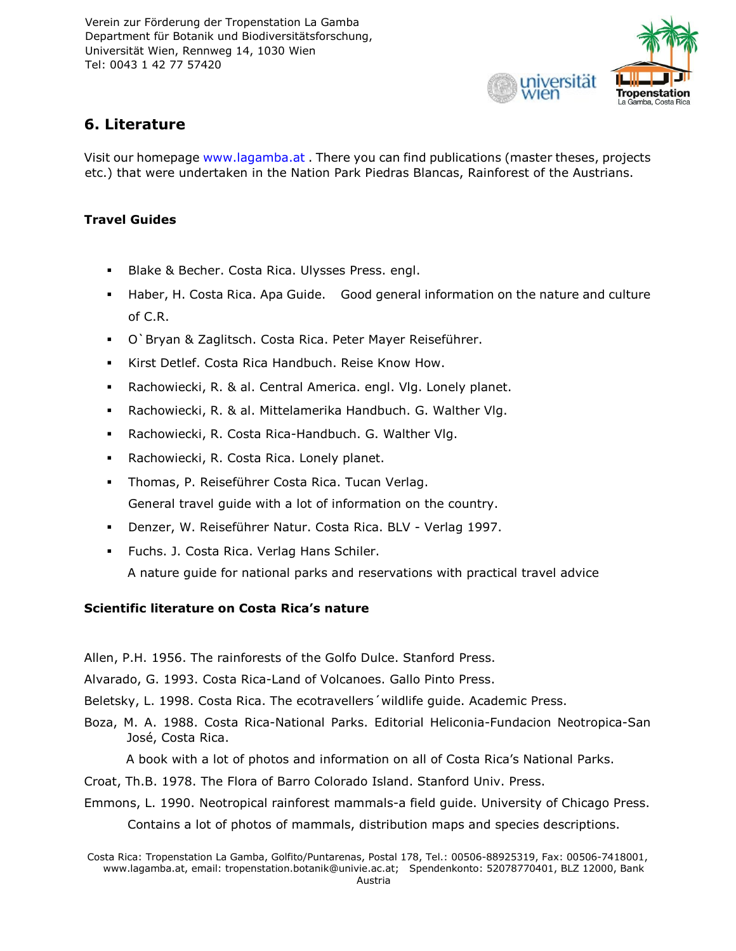

# **6. Literature**

Visit our homepage [www.lagamba.at](http://www.lagamba.at/) . There you can find publications (master theses, projects etc.) that were undertaken in the Nation Park Piedras Blancas, Rainforest of the Austrians.

# **Travel Guides**

- Blake & Becher. Costa Rica. Ulysses Press. engl.
- Haber, H. Costa Rica. Apa Guide. Good general information on the nature and culture of C.R.
- O`Bryan & Zaglitsch. Costa Rica. Peter Mayer Reiseführer.
- Kirst Detlef. Costa Rica Handbuch. Reise Know How.
- Rachowiecki, R. & al. Central America. engl. Vlg. Lonely planet.
- Rachowiecki, R. & al. Mittelamerika Handbuch. G. Walther Vlg.
- Rachowiecki, R. Costa Rica-Handbuch. G. Walther Vlg.
- Rachowiecki, R. Costa Rica. Lonely planet.
- Thomas, P. Reiseführer Costa Rica. Tucan Verlag. General travel guide with a lot of information on the country.
- Denzer, W. Reiseführer Natur. Costa Rica. BLV Verlag 1997.
- Fuchs. J. Costa Rica. Verlag Hans Schiler. A nature guide for national parks and reservations with practical travel advice

# **Scientific literature on Costa Rica's nature**

Allen, P.H. 1956. The rainforests of the Golfo Dulce. Stanford Press.

Alvarado, G. 1993. Costa Rica-Land of Volcanoes. Gallo Pinto Press.

Beletsky, L. 1998. Costa Rica. The ecotravellers´wildlife guide. Academic Press.

Boza, M. A. 1988. Costa Rica-National Parks. Editorial Heliconia-Fundacion Neotropica-San José, Costa Rica.

A book with a lot of photos and information on all of Costa Rica's National Parks.

Croat, Th.B. 1978. The Flora of Barro Colorado Island. Stanford Univ. Press.

Emmons, L. 1990. Neotropical rainforest mammals-a field guide. University of Chicago Press.

Contains a lot of photos of mammals, distribution maps and species descriptions.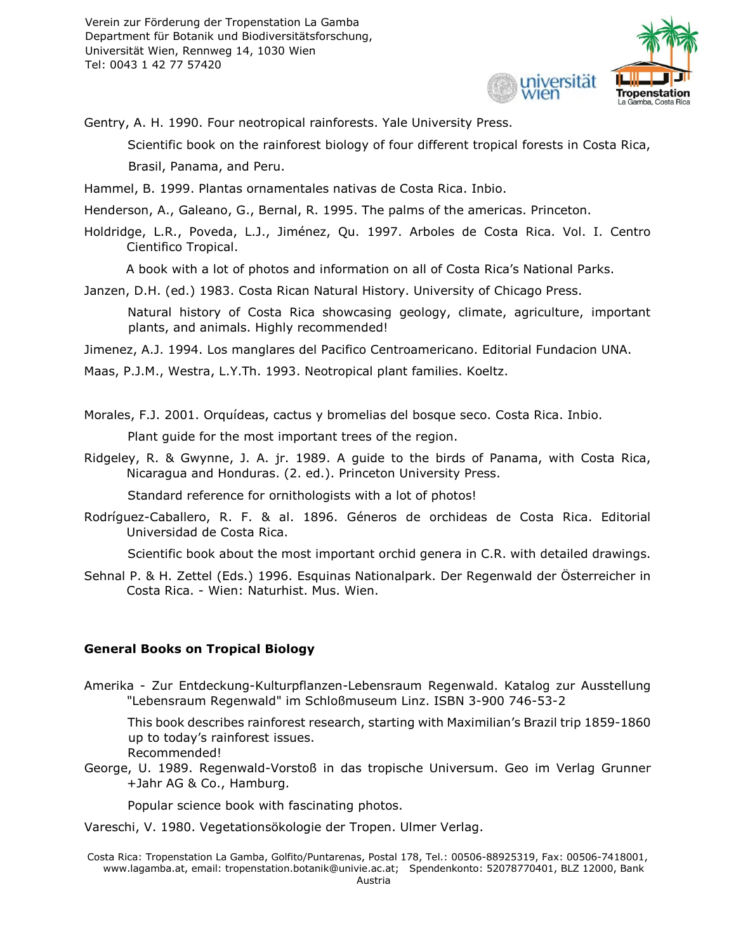

Gentry, A. H. 1990. Four neotropical rainforests. Yale University Press.

Scientific book on the rainforest biology of four different tropical forests in Costa Rica, Brasil, Panama, and Peru.

Hammel, B. 1999. Plantas ornamentales nativas de Costa Rica. Inbio.

Henderson, A., Galeano, G., Bernal, R. 1995. The palms of the americas. Princeton.

Holdridge, L.R., Poveda, L.J., Jiménez, Qu. 1997. Arboles de Costa Rica. Vol. I. Centro Cientifico Tropical.

A book with a lot of photos and information on all of Costa Rica's National Parks.

Janzen, D.H. (ed.) 1983. Costa Rican Natural History. University of Chicago Press.

Natural history of Costa Rica showcasing geology, climate, agriculture, important plants, and animals. Highly recommended!

Jimenez, A.J. 1994. Los manglares del Pacifico Centroamericano. Editorial Fundacion UNA.

Maas, P.J.M., Westra, L.Y.Th. 1993. Neotropical plant families. Koeltz.

Morales, F.J. 2001. Orquídeas, cactus y bromelias del bosque seco. Costa Rica. Inbio.

Plant guide for the most important trees of the region.

Ridgeley, R. & Gwynne, J. A. jr. 1989. A guide to the birds of Panama, with Costa Rica, Nicaragua and Honduras. (2. ed.). Princeton University Press.

Standard reference for ornithologists with a lot of photos!

Rodríguez-Caballero, R. F. & al. 1896. Géneros de orchideas de Costa Rica. Editorial Universidad de Costa Rica.

Scientific book about the most important orchid genera in C.R. with detailed drawings.

Sehnal P. & H. Zettel (Eds.) 1996. Esquinas Nationalpark. Der Regenwald der Österreicher in Costa Rica. - Wien: Naturhist. Mus. Wien.

# **General Books on Tropical Biology**

Amerika - Zur Entdeckung-Kulturpflanzen-Lebensraum Regenwald. Katalog zur Ausstellung "Lebensraum Regenwald" im Schloßmuseum Linz. ISBN 3-900 746-53-2

This book describes rainforest research, starting with Maximilian's Brazil trip 1859-1860 up to today's rainforest issues.

Recommended!

George, U. 1989. Regenwald-Vorstoß in das tropische Universum. Geo im Verlag Grunner +Jahr AG & Co., Hamburg.

Popular science book with fascinating photos.

Vareschi, V. 1980. Vegetationsökologie der Tropen. Ulmer Verlag.

Costa Rica: Tropenstation La Gamba, Golfito/Puntarenas, Postal 178, Tel.: 00506-88925319, Fax: 00506-7418001, www.lagamba.at, email: tropenstation.botanik@univie.ac.at; Spendenkonto: 52078770401, BLZ 12000, Bank Austria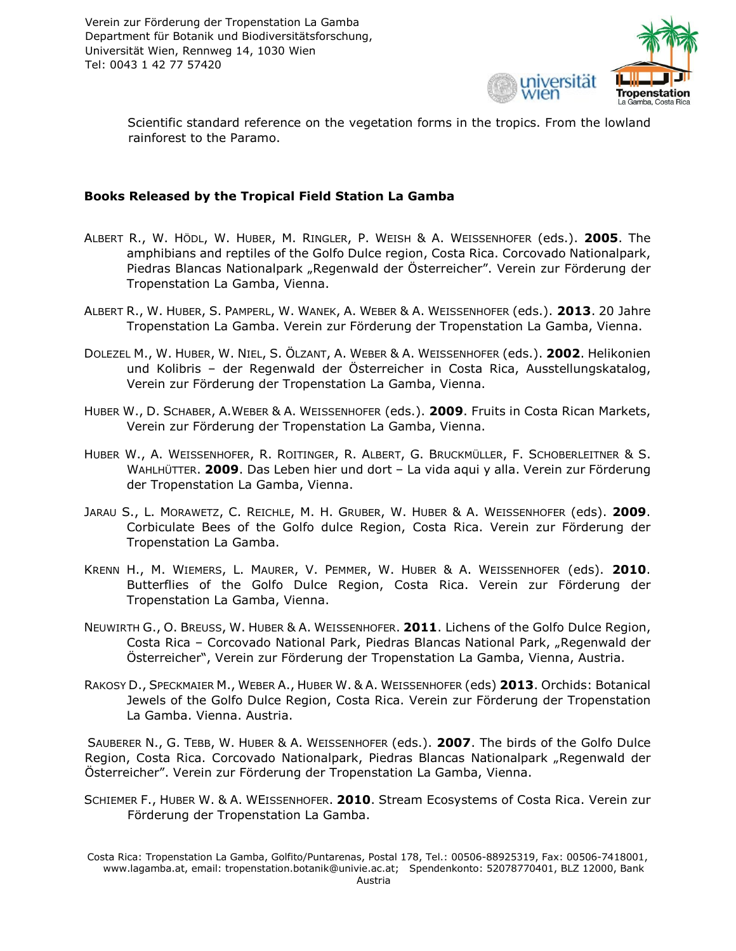

Scientific standard reference on the vegetation forms in the tropics. From the lowland rainforest to the Paramo.

#### **Books Released by the Tropical Field Station La Gamba**

- ALBERT R., W. HÖDL, W. HUBER, M. RINGLER, P. WEISH & A. WEISSENHOFER (eds.). **2005**. The amphibians and reptiles of the Golfo Dulce region, Costa Rica. Corcovado Nationalpark, Piedras Blancas Nationalpark "Regenwald der Österreicher". Verein zur Förderung der Tropenstation La Gamba, Vienna.
- ALBERT R., W. HUBER, S. PAMPERL, W. WANEK, A. WEBER & A. WEISSENHOFER (eds.). **2013**. 20 Jahre Tropenstation La Gamba. Verein zur Förderung der Tropenstation La Gamba, Vienna.
- DOLEZEL M., W. HUBER, W. NIEL, S. ÖLZANT, A. WEBER & A. WEISSENHOFER (eds.). **2002**. Helikonien und Kolibris – der Regenwald der Österreicher in Costa Rica, Ausstellungskatalog, Verein zur Förderung der Tropenstation La Gamba, Vienna.
- HUBER W., D. SCHABER, A.WEBER & A. WEISSENHOFER (eds.). **2009**. Fruits in Costa Rican Markets, Verein zur Förderung der Tropenstation La Gamba, Vienna.
- HUBER W., A. WEISSENHOFER, R. ROITINGER, R. ALBERT, G. BRUCKMÜLLER, F. SCHOBERLEITNER & S. WAHLHÜTTER. **2009**. Das Leben hier und dort – La vida aqui y alla. Verein zur Förderung der Tropenstation La Gamba, Vienna.
- JARAU S., L. MORAWETZ, C. REICHLE, M. H. GRUBER, W. HUBER & A. WEISSENHOFER (eds). **2009**. Corbiculate Bees of the Golfo dulce Region, Costa Rica. Verein zur Förderung der Tropenstation La Gamba.
- KRENN H., M. WIEMERS, L. MAURER, V. PEMMER, W. HUBER & A. WEISSENHOFER (eds). **2010**. Butterflies of the Golfo Dulce Region, Costa Rica. Verein zur Förderung der Tropenstation La Gamba, Vienna.
- NEUWIRTH G., O. BREUSS, W. HUBER & A. WEISSENHOFER. **2011**. Lichens of the Golfo Dulce Region, Costa Rica – Corcovado National Park, Piedras Blancas National Park, "Regenwald der Österreicher", Verein zur Förderung der Tropenstation La Gamba, Vienna, Austria.
- RAKOSY D., SPECKMAIER M., WEBER A., HUBER W. & A. WEISSENHOFER (eds) **2013**. Orchids: Botanical Jewels of the Golfo Dulce Region, Costa Rica. Verein zur Förderung der Tropenstation La Gamba. Vienna. Austria.

SAUBERER N., G. TEBB, W. HUBER & A. WEISSENHOFER (eds.). **2007**. The birds of the Golfo Dulce Region, Costa Rica. Corcovado Nationalpark, Piedras Blancas Nationalpark "Regenwald der Österreicher". Verein zur Förderung der Tropenstation La Gamba, Vienna.

SCHIEMER F., HUBER W. & A. WEISSENHOFER. **2010**. Stream Ecosystems of Costa Rica. Verein zur Förderung der Tropenstation La Gamba.

Costa Rica: Tropenstation La Gamba, Golfito/Puntarenas, Postal 178, Tel.: 00506-88925319, Fax: 00506-7418001, www.lagamba.at, email: tropenstation.botanik@univie.ac.at; Spendenkonto: 52078770401, BLZ 12000, Bank Austria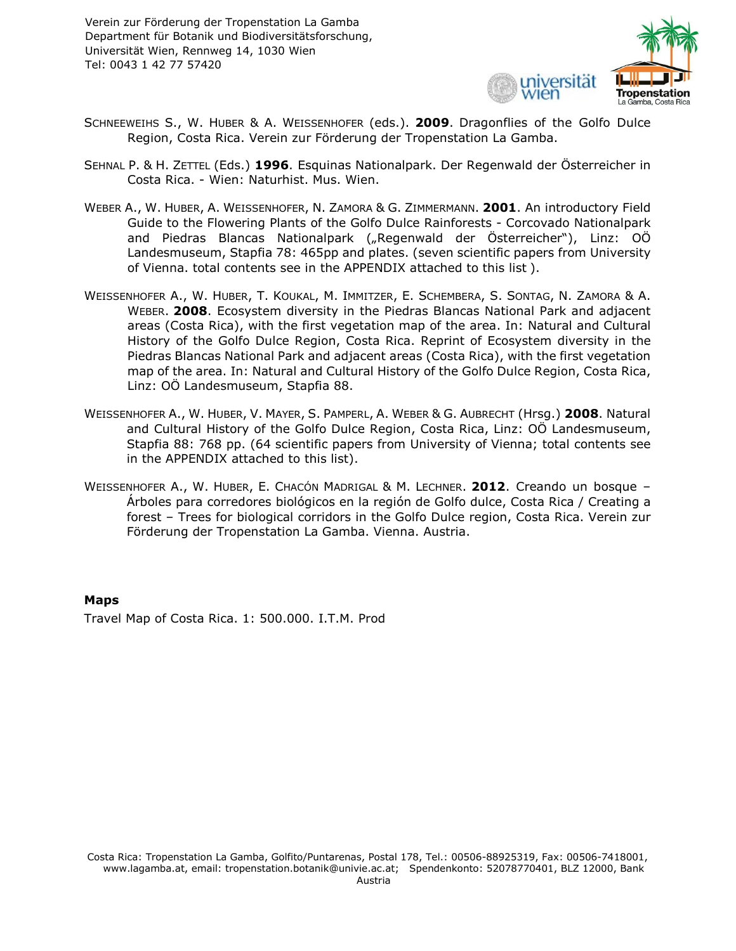

- SCHNEEWEIHS S., W. HUBER & A. WEISSENHOFER (eds.). **2009**. Dragonflies of the Golfo Dulce Region, Costa Rica. Verein zur Förderung der Tropenstation La Gamba.
- SEHNAL P. & H. ZETTEL (Eds.) **1996**. Esquinas Nationalpark. Der Regenwald der Österreicher in Costa Rica. - Wien: Naturhist. Mus. Wien.
- WEBER A., W. HUBER, A. WEISSENHOFER, N. ZAMORA & G. ZIMMERMANN. **2001**. An introductory Field Guide to the Flowering Plants of the Golfo Dulce Rainforests - Corcovado Nationalpark and Piedras Blancas Nationalpark ("Regenwald der Österreicher"), Linz: OÖ Landesmuseum, Stapfia 78: 465pp and plates. (seven scientific papers from University of Vienna. total contents see in the APPENDIX attached to this list ).
- WEISSENHOFER A., W. HUBER, T. KOUKAL, M. IMMITZER, E. SCHEMBERA, S. SONTAG, N. ZAMORA & A. WEBER. **2008**. Ecosystem diversity in the Piedras Blancas National Park and adjacent areas (Costa Rica), with the first vegetation map of the area. In: Natural and Cultural History of the Golfo Dulce Region, Costa Rica. Reprint of Ecosystem diversity in the Piedras Blancas National Park and adjacent areas (Costa Rica), with the first vegetation map of the area. In: Natural and Cultural History of the Golfo Dulce Region, Costa Rica, Linz: OÖ Landesmuseum, Stapfia 88.
- WEISSENHOFER A., W. HUBER, V. MAYER, S. PAMPERL, A. WEBER & G. AUBRECHT (Hrsg.) **2008**. Natural and Cultural History of the Golfo Dulce Region, Costa Rica, Linz: OÖ Landesmuseum, Stapfia 88: 768 pp. (64 scientific papers from University of Vienna; total contents see in the APPENDIX attached to this list).
- WEISSENHOFER A., W. HUBER, E. CHACÓN MADRIGAL & M. LECHNER. **2012**. Creando un bosque Árboles para corredores biológicos en la región de Golfo dulce, Costa Rica / Creating a forest – Trees for biological corridors in the Golfo Dulce region, Costa Rica. Verein zur Förderung der Tropenstation La Gamba. Vienna. Austria.

#### **Maps**

Travel Map of Costa Rica. 1: 500.000. I.T.M. Prod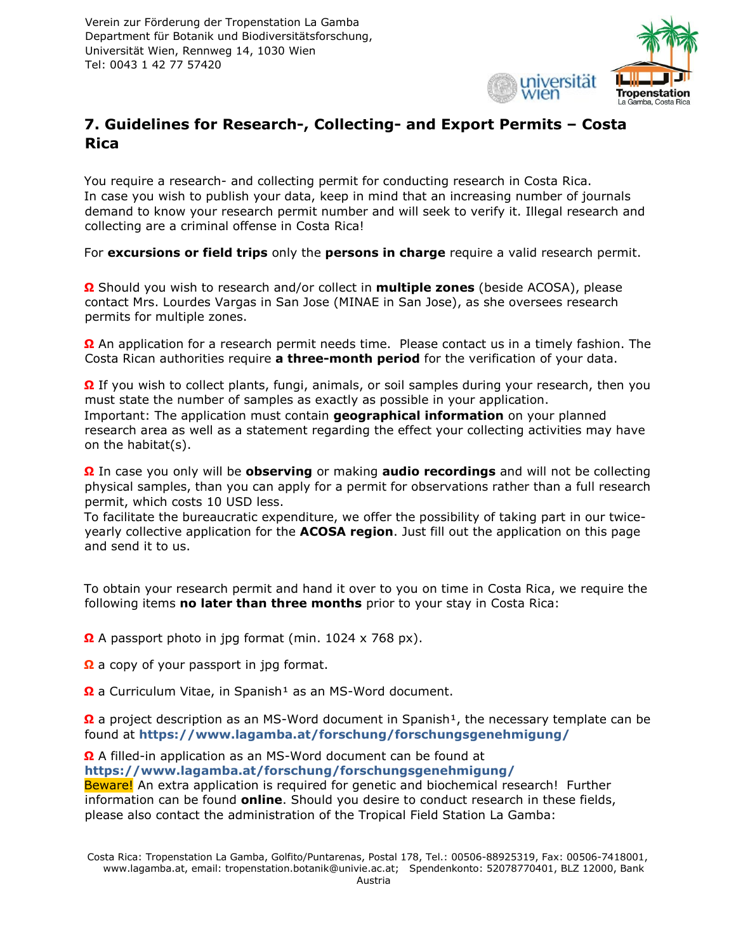

# **7. Guidelines for Research-, Collecting- and Export Permits – Costa Rica**

You require a research- and collecting permit for conducting research in Costa Rica. In case you wish to publish your data, keep in mind that an increasing number of journals demand to know your research permit number and will seek to verify it. Illegal research and collecting are a criminal offense in Costa Rica!

For **excursions or field trips** only the **persons in charge** require a valid research permit.

**Ω** Should you wish to research and/or collect in **multiple zones** (beside ACOSA), please contact Mrs. Lourdes Vargas in San Jose (MINAE in San Jose), as she oversees research permits for multiple zones.

**Ω** An application for a research permit needs time. Please contact us in a timely fashion. The Costa Rican authorities require **a three-month period** for the verification of your data.

**Ω** If you wish to collect plants, fungi, animals, or soil samples during your research, then you must state the number of samples as exactly as possible in your application. Important: The application must contain **geographical information** on your planned research area as well as a statement regarding the effect your collecting activities may have on the habitat(s).

**Ω** In case you only will be **observing** or making **audio recordings** and will not be collecting physical samples, than you can apply for a permit for observations rather than a full research permit, which costs 10 USD less.

To facilitate the bureaucratic expenditure, we offer the possibility of taking part in our twiceyearly collective application for the **ACOSA region**. Just fill out the application on this page and send it to us.

To obtain your research permit and hand it over to you on time in Costa Rica, we require the following items **no later than three months** prior to your stay in Costa Rica:

**Ω** A passport photo in jpg format (min. 1024 x 768 px).

**Ω** a copy of your passport in jpg format.

**Ω** a Curriculum Vitae, in Spanish<sup>1</sup> as an MS-Word document.

**Ω** a project description as an MS-Word document in Spanish<sup>1</sup>, the necessary template can be found at **https://www.lagamba.at/forschung/forschungsgenehmigung/**

**Ω** A filled-in application as an MS-Word document can be found at **https://www.lagamba.at/forschung/forschungsgenehmigung/** Beware! An extra application is required for genetic and biochemical research! Further information can be found **online**[.](https://www.lagamba.at/forschung/forschungsgenehmigung/genetische-und-biochemische-untersuchungen/) Should you desire to conduct research in these fields, please also contact the administration of the Tropical Field Station La Gamba: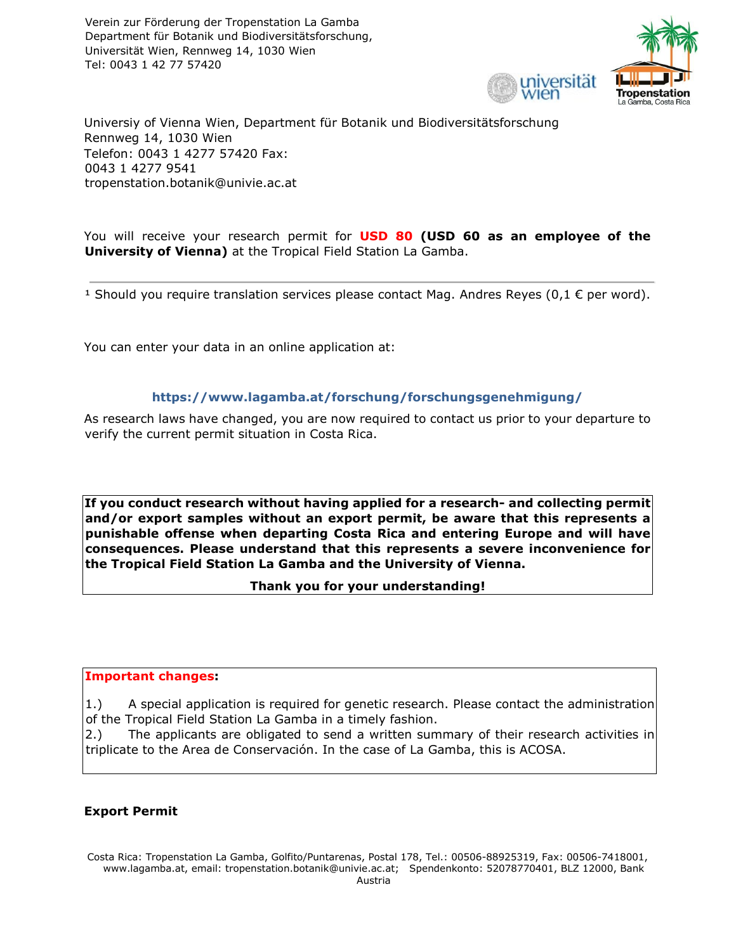

Universiy of Vienna Wien, Department für Botanik und Biodiversitätsforschung Rennweg 14, 1030 Wien Telefon: 0043 1 4277 57420 Fax: 0043 1 4277 9541 tropenstation.botanik@univie.ac.at

You will receive your research permit for **USD 80 (USD 60 as an employee of the University of Vienna)** at the Tropical Field Station La Gamba.

<sup>1</sup> Should you require translation services please contact Mag. Andres Reyes (0,1  $\epsilon$  per word).

You can enter your data in an online application at:

#### **https://www.lagamba.at/forschung/forschungsgenehmigung/**

As research laws have changed, you are now required to contact us prior to your departure to verify the current permit situation in Costa Rica.

**If you conduct research without having applied for a research- and collecting permit and/or export samples without an export permit, be aware that this represents a punishable offense when departing Costa Rica and entering Europe and will have consequences. Please understand that this represents a severe inconvenience for the Tropical Field Station La Gamba and the University of Vienna.** 

#### **Thank you for your understanding!**

#### **Important changes:**

1.) A special application is required for genetic research. Please contact the administration of the Tropical Field Station La Gamba in a timely fashion.

2.) The applicants are obligated to send a written summary of their research activities in triplicate to the Area de Conservación. In the case of La Gamba, this is ACOSA.

#### **Export Permit**

Costa Rica: Tropenstation La Gamba, Golfito/Puntarenas, Postal 178, Tel.: 00506-88925319, Fax: 00506-7418001, www.lagamba.at, email: tropenstation.botanik@univie.ac.at; Spendenkonto: 52078770401, BLZ 12000, Bank